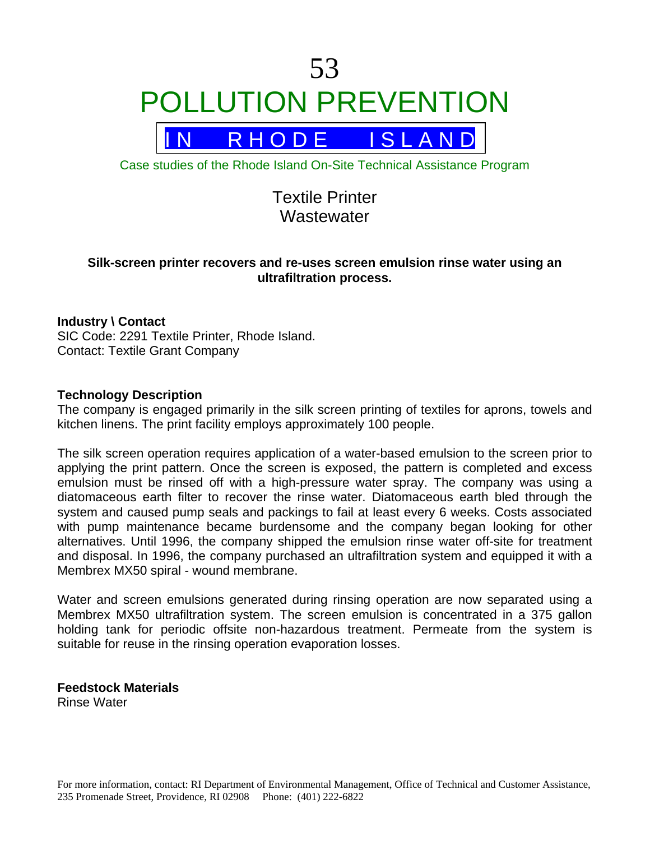

R H O D E I S L A N D

Case studies of the Rhode Island On-Site Technical Assistance Program

# Textile Printer **Wastewater**

## **Silk-screen printer recovers and re-uses screen emulsion rinse water using an ultrafiltration process.**

## **Industry \ Contact**

SIC Code: 2291 Textile Printer, Rhode Island. Contact: Textile Grant Company

## **Technology Description**

The company is engaged primarily in the silk screen printing of textiles for aprons, towels and kitchen linens. The print facility employs approximately 100 people.

The silk screen operation requires application of a water-based emulsion to the screen prior to applying the print pattern. Once the screen is exposed, the pattern is completed and excess emulsion must be rinsed off with a high-pressure water spray. The company was using a diatomaceous earth filter to recover the rinse water. Diatomaceous earth bled through the system and caused pump seals and packings to fail at least every 6 weeks. Costs associated with pump maintenance became burdensome and the company began looking for other alternatives. Until 1996, the company shipped the emulsion rinse water off-site for treatment and disposal. In 1996, the company purchased an ultrafiltration system and equipped it with a Membrex MX50 spiral - wound membrane.

Water and screen emulsions generated during rinsing operation are now separated using a Membrex MX50 ultrafiltration system. The screen emulsion is concentrated in a 375 gallon holding tank for periodic offsite non-hazardous treatment. Permeate from the system is suitable for reuse in the rinsing operation evaporation losses.

**Feedstock Materials**  Rinse Water